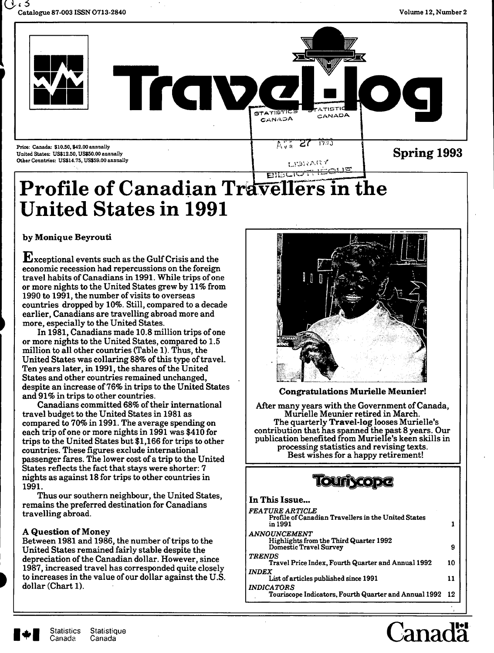

# **Profile of Canadian Travellers in the United States in 1991**

**by Monique Beyrouti** 

 $\mathbf E$ xceptional events such as the Gulf Crisis and the economic recession had repercussions on the foreign travel habits of Canadians in 1991. While trips of one or more nights to the United States grew by 11% from 1990 to 1991, the number of visits to overseas countries dropped by 10%. Still, compared to a decade earlier, Canadians are travelling abroad more and more, especially to the United States.

In 1981, Canadians made 10.8 million trips of one or more nights to the United States, compared to 1.5 million to all other countries (Table 1). Thus, the United States was collaring 88% of this type of travel. Ten years later, in 1991, the shares of the United States and other countries remained unchanged, despite an increase of 76% in trips to the United States and 91% in trips to other countries.

Canadians committed 68% of their international travel budget to the United States in 1981 as compared to 70% in 1991. The average spending on each trip of one or more nights in 1991 was \$410 for trips to the United States but \$1,166 for trips to other countries. These figures exclude international passenger fares. The lower cost of a trip to the United States reflects the fact that stays were shorter: 7 nights as against 18 for trips to other countries in 1991.

Thus our southern neighbour, the United States, remains the preferred destination for Canadians travelling abroad.

## **A Question of Money**

Between 1981 and 1986, the number of trips to the United States remained fairly stable despite the depreciation of the Canadian dollar. However, since 1987, increased travel has corresponded quite closely to increases in the value of our dollar against the U.S. dollar (Chart **1).** 



**Congratulations MurieUe Meunier!** 

After many years with the Government of Canada, Murielle Meunier retired in March. The quarterly **Travel-log** looses Murielle's contribution that has spanned the past 8 years. Our publication benefited from Murielle's keen skills in processing statistics and revising texts. Best wishes for a happy retirement!

## **IOUA YCOD**

| In This Issue                                                                            |     |
|------------------------------------------------------------------------------------------|-----|
| <b>FEATURE ARTICLE</b><br>Profile of Canadian Travellers in the United States<br>in 1991 |     |
| ANNOUNCEMENT<br>Highlights from the Third Quarter 1992<br>Domestic Travel Survey         | 9   |
| <b>TRENDS</b><br>Travel Price Index, Fourth Quarter and Annual 1992                      | 10  |
| <b>INDEX</b><br>List of articles published since 1991                                    | וו  |
| <i><b>INDICATORS</b></i><br>Touriscope Indicators, Fourth Quarter and Annual 1992        | -12 |



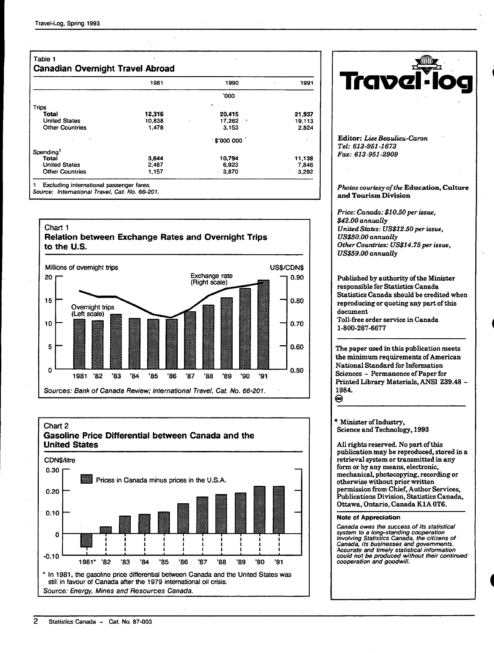|                        | 1981   | 1990                       | 1991   |
|------------------------|--------|----------------------------|--------|
|                        |        | '000                       |        |
| <b>Trips</b>           |        |                            |        |
| Total                  | 12,316 | 20.415                     | 21,937 |
| <b>United States</b>   | 10.838 | 17.262<br>÷                | 19.113 |
| <b>Other Countries</b> | 1.478  | 3.153                      | 2.824  |
|                        |        | $\cdot$ \$'000 000 $\cdot$ |        |
| Spending <sup>1</sup>  |        |                            |        |
| <b>Total</b>           | 3,644  | 10,794                     | 11,138 |
| <b>United States</b>   | 2,487  | 6.923                      | 7,846  |
| <b>Other Countries</b> | 1.157  | 3,870                      | 3,292  |

Source: International Travel, Cat. No. 66-201.

#### **Chart 1 Relation between Exchange Rates and Overnight Trips to the U.S.**



#### **Chart 2**

## **Gasoline Price Differential between Canada and the United States**



Trave **Editor:** *Lise Beaulieu-Caron Tel: 613-951-1673 Fax: 613-951-2909 Photos courtesy of the* **Education, Culture and Tourism Division**  *Price: Canada: \$10.50 per issue, \$42.00 annually United States: US\$12.50 per issue, US\$50.00 annually*  Other Countries: US\$14.75 per issue, *US\$59.00 annually*  Published by authority of the Minister responsible for Statistics Canada Statistics Canada should be credited when reproducing or quoting any part of this document Toll-free order service in Canada 1-800-267-6677 The paper used in this publication meets the minimum requirements of American National Standard for Information Sciences - Permanence of Paper for Printed Library Materials, ANSI Z39.48 - 1984. ⊝  $^{\circ}$  Minister of Industry, Science and Technology, **1993**  All rights reserved. No part of this publication may be reproduced, stored in a retrieval system or transmitted in any form or by any means, electronic, mechanical, photocopying, recording or otherwise without prior written permission from Chief, Author Services, Publications Division, Statistics Canada, Ottawa, Ontario, Canada K1A 0T6. Note of Appreciation Canada owes the success of its statistical system to a long-standing cooperation involving Statistics Canada, the citizens of Canada, its businesses and governments. Accurate and timely statistical information could not be produced without their continued cooperation and goodwill.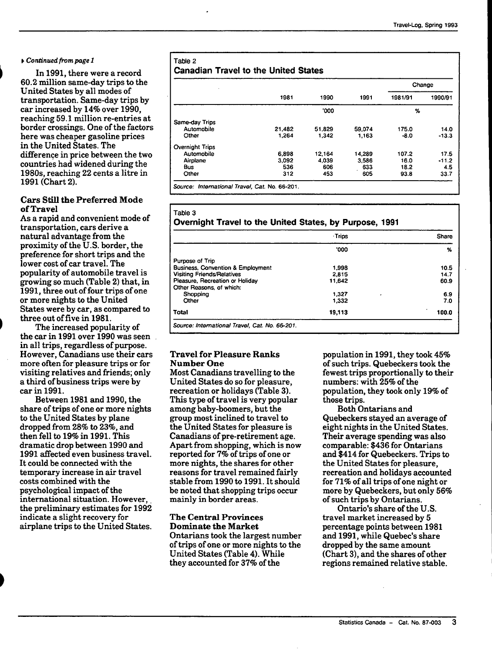#### *k Continued from page 1*

In 1991, there were a record 60.2 million same-day trips to the United States by all modes of transportation. Same-day trips by car increased by 14% over 1990, reaching 59.1 million re-entries at border crossings. One of the factors here was cheaper gasoline prices in the United States. The difference in price between the two countries had widened during the 1980s, reaching 22 cents a litre in 1991 (Chart 2).

## **Cars Still the Preferred Mode of Travel**

As a rapid and convenient mode of transportation, cars derive a natural advantage from the proximity of the U.S. border, the preference for short trips and the lower cost of car travel. The popularity of automobile travel is growing so much (Table 2) that, in 1991, three out of four trips of one or more nights to the United States were by car, as compared to three out of five in 1981.

The increased popularity of the car in 1991 over 1990 was seen in all trips, regardless of purpose. However, Canadians use their cars more often for pleasure trips or for visiting relatives and friends; only a third of business trips were by car in 1991.

Between 1981 and 1990, the share of trips of one or more nights to the United States by plane dropped from 28% to 23%, and then fell to 19% in 1991. This dramatic drop between 1990 and 1991 affected even business travel. It could be connected with the temporary increase in air travel costs combined with the psychological impact of the international situation. However, the preliminary estimates for 1992 indicate a slight recovery for airplane trips to the United States.

#### Table 2 **Canadian Travel to the United States**

| $\ddot{\phantom{a}}$ |        |        |        |         | Change  |
|----------------------|--------|--------|--------|---------|---------|
|                      | 1981   | 1990   | 1991   | 1981/91 | 1990/91 |
|                      |        | '000   |        | %       |         |
| Same-day Trips       |        |        |        |         |         |
| Automobile           | 21,482 | 51,829 | 59.074 | 175.0   | 14.0    |
| Other                | 1.264  | 1,342  | 1.163  | $-8.0$  | $-13.3$ |
| Overnight Trips      |        |        |        |         |         |
| Automobile           | 6.898  | 12,164 | 14,289 | 107.2   | 17.5    |
| Airplane             | 3.092  | 4.039  | 3.586  | 16.0    | $-11.2$ |
| Bus                  | 536    | 606    | 633    | 18.2    | 4.5     |
| Other                | 312    | 453    | 605    | 93.8    | 33.7    |

Source: International Travel, Cat No. 66-201.

Table 3

## **Overnight Travel to the United States, by Purpose, 1991**

|                                                | ·Trips | Share |
|------------------------------------------------|--------|-------|
|                                                | '000   | %     |
| <b>Purpose of Trip</b>                         |        |       |
| <b>Business, Convention &amp; Employment</b>   | 1.998  | 10.5  |
| <b>Visiting Friends/Relatives</b>              | 2.815  | 14.7  |
| Pleasure, Recreation or Holiday                | 11,642 | 60.9  |
| Other Reasons, of which:                       |        |       |
| Shopping                                       | 1.327  | 6.9   |
| Other                                          | 1,332  | 7.0   |
| Total                                          | 19,113 | 100.0 |
| Source: International Travel, Cat. No. 66-201. |        |       |

## **Travel for Pleasure Ranks Number One**

Most Canadians travelling to the United States do so for pleasure, recreation or holidays (Table 3). This type of travel is very popular among baby-boomers, but the group most inclined to travel to the United States for pleasure is Canadians of pre-retirement age. Apart from shopping, which is now reported for 7% of trips of one or more nights, the shares for other reasons for travel remained fairly stable from 1990 to 1991. It should be noted that shopping trips occur mainly in border areas.

#### **The Central Provinces Dominate the Market**

Ontarians took the largest number of trips of one or more nights to the United States (Table 4). While they accounted for 37% of the

population in 1991, they took 45% of such trips. Quebeckers took the fewest trips proportionally to their numbers: with 25% of the population, they took only 19% of those trips.

Both Ontarians and Quebeckers stayed an average of eight nights in the United States. Their average spending was also comparable: \$436 for Ontarians and \$414 for Quebeckers. Trips to the United States for pleasure, recreation and holidays accounted for 71% of all trips of one night or more by Quebeckers, but only 56% of such trips by Ontarians.

Ontario's share of the U.S. travel market increased by 5 percentage points between 1981 and 1991, while Quebec's share dropped by the same amount (Chart 3), and the shares of other regions remained relative stable.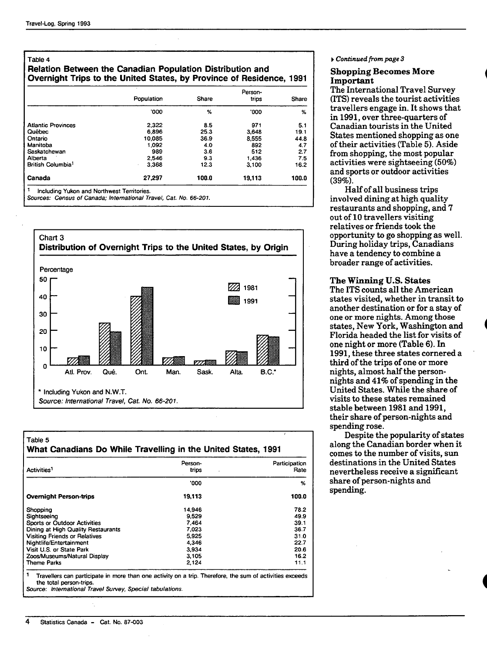## Table 4 **Relation Between the Canadian Population Distribution and Overnight Trips to the United States, by Province of Residence, 1991**

|                               | Population       | Share | Person-<br>trips | Share |
|-------------------------------|------------------|-------|------------------|-------|
|                               | '000             | %     | '000             | %     |
| <b>Atlantic Provinces</b>     | 2.322            | 8.5   | 971              | 5.1   |
| Québec                        | 6.896            | 25.3  | 3.648            | 19.1  |
| Ontario                       | 10.085           | 36.9  | 8.555            | 44.8  |
| Manitoba                      | 1.092            | 4.0   | 892              | 4.7   |
| Saskatchewan                  | 989              | 3.6   | 512              | 2.7   |
| Alberta                       | 2.546            | 9.3   | 1.436            | 7.5   |
| British Columbia <sup>1</sup> | 3.368<br>$\cdot$ | 12.3  | 3.100            | 16.2  |
| Canada                        | 27,297           | 100.0 | 19,113           | 100.0 |

Sources; Census of Canada; International Travel, Cat. No. 66-207.



#### Table 5 **What Canadians Do While Travelling in the United States, 1991**

| Activities <sup>1</sup>              | Person-<br>trips | Participation<br>Rate |
|--------------------------------------|------------------|-----------------------|
|                                      | '000             | ℅                     |
| <b>Overnight Person-trips</b>        | 19,113           | 100.0                 |
| Shopping                             | 14.946           | 78.2                  |
| Sightseeing                          | 9.529            | 49.9                  |
| <b>Sports or Outdoor Activities</b>  | 7.464            | 39.1                  |
| Dining at High Quality Restaurants   | 7.023            | 36.7                  |
| <b>Visiting Friends or Relatives</b> | 5,925            | 31.0                  |
| Nightlife/Entertainment              | 4.346            | 22.7                  |
| Visit U.S. or State Park             | 3.934            | 20.6                  |
| Zoos/Museums/Natural Display         | 3.105            | 16.2                  |
| Theme Parks                          | 2.124            | 11.1                  |

#### **•** *Continued from page 3*

#### **Shopping Becomes More Important**

The International Travel Survey (ITS) reveals the tourist activities travellers engage in. It shows that in 1991, over three-quarters of Canadian tourists in the United States mentioned shopping as one of their activities (Table 5). Aside from shopping, the most popular activities were sightseeing (50%) and sports or outdoor activities  $(39\%)$ .

Half of all business trips involved dining at high quality restaurants and shopping, and 7 out of 10 travellers visiting relatives or friends took the opportunity to go shopping as well. During holiday trips, Canadians have a tendency to combine a broader range of activities.

#### The **Winning** U.S. **States**

The ITS counts all the American states visited, whether in transit to another destination or for a stay of one or more nights. Among those states. New York, Washington and Florida headed the list for visits of one night or more (Table 6). In 1991, these three states cornered a third of the trips of one or more nights, almost half the personnights and 41% of spending in the United States. While the share of visits to these states remained stable between 1981 and 1991, their share of person-nights and spending rose.

Despite the popularity of states along the Canadian border when it comes to the number of visits, sun destinations in the United States nevertheless receive a significant share of person-nights and spending.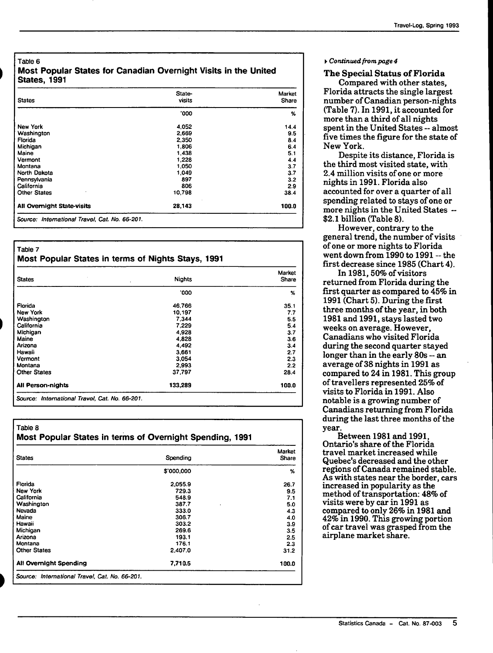## **Most Popular States for Canadian Overnight Visits in the United States, 1991**

Table 6

| <b>States</b>                                  | State-<br>visits | Market<br>Share |
|------------------------------------------------|------------------|-----------------|
|                                                | '000             | %               |
| <b>New York</b>                                | 4,052            | 14.4            |
| Washington                                     | 2.669            | 9.5             |
| Florida                                        | 2.350            | 8.4             |
| Michigan                                       | 1,806            | 6.4             |
| Maine                                          | 1,438            | 5.1             |
| Vermont                                        | 1,228            | 4.4             |
| Montana                                        | 1,050            | 3.7             |
| North Dakota                                   | 1.049            | 3.7             |
| Pennsylvania                                   | 897              | 3.2             |
| California                                     | 806              | 2.9             |
| <b>Other States</b>                            | 10,798           | 38.4            |
| <b>All Overnight State-visits</b>              | 28,143           | 100.0           |
| Source: International Travel, Cat. No. 66-201. |                  |                 |

#### Table 7 **Most Popular States in terms of Nights Stays, 1991 states Florida New York Washington California Michigan Maine Arizona Hawaii Vermont Montana Other States All Person-nights Source: International Travel, Cat. No. 66-207. Nights •000 46,766 10,197 7,344 7,229 4,928 4,828 4,492 3,661 3,054 2,993 37,797 133,289 Market Share % 35.1 7.7 5.5 5.4 3.7 3.6 3.4 2.7 2.3 2.2 28.4 100.0**

#### Table 8 **Most Popular States in terms of Overnight Spending, 1991**

| <b>States</b>                                  | Spending   | <b>Market</b><br>Share |
|------------------------------------------------|------------|------------------------|
|                                                | \$'000,000 | %                      |
| Florida                                        | 2,055.9    | 26.7                   |
| <b>New York</b>                                | 729.3      | 9.5                    |
| California                                     | 548.9      | 7.1                    |
| Washington                                     | 387.7      | 5.0                    |
| Nevada                                         | 333.0      | 4.3                    |
| Maine                                          | 306.7      | 4.0                    |
| Hawaii                                         | 303.2      | 3.9                    |
| Michigan                                       | 269.6      | 3.5                    |
| Arizona                                        | 193.1      | 2.5                    |
| Montana                                        | 176.1      | 2.3                    |
| <b>Other States</b>                            | 2.407.0    | 31.2                   |
| <b>All Overnight Spending</b>                  | 7,710.5    | 100.0                  |
| Source: International Travel. Cat. No. 66-201. |            |                        |

#### **^** *Continued from page 4*

#### **The Special Status of Florida**

Compared with other states, Florida attracts the single largest number of Canadian person-nights (Table 7). In 1991, it accounted for more than a third of all nights spent in the United States — almost five times the figure for the state of New York.

Despite its distance, Florida is the third most visited state, with 2.4 million visits of one or more nights in 1991. Florida also accounted for over a quarter of all spending related to stays of one or more nights in the United States --\$2.1 billion (Table 8).

However, contrary to the general trend, the number of visits of one or more nights to Florida went down from 1990 to 1991 ~ the first decrease since 1985 (Chart 4).

In 1981, 50% of visitors returned from Florida during the first quarter as compared to 45% in 1991 (Chart 5). During the first three months of the year, in both 1981 and 1991, stays lasted two weeks on average. However, Canadians who visited Florida during the second quarter stayed longer than in the early 80s -- an average of 38 nights in 1991 as compared to 24 in 1981. This group of travellers represented 25% of visits to Florida in 1991. Also notable is a growing number of Canadians returning from Florida during the last three months of the year.

Between 1981 and 1991, Ontario's share of the Florida travel market increased while Quebec's decreased and the other regions of Canada remained stable. As with states near the border, cars increased in popularity as the method of transportation: 48% of visits were by car in 1991 as compared to only 26% in 1981 and 42% in 1990. This growing portion of car travel was grasped from the airplane market share.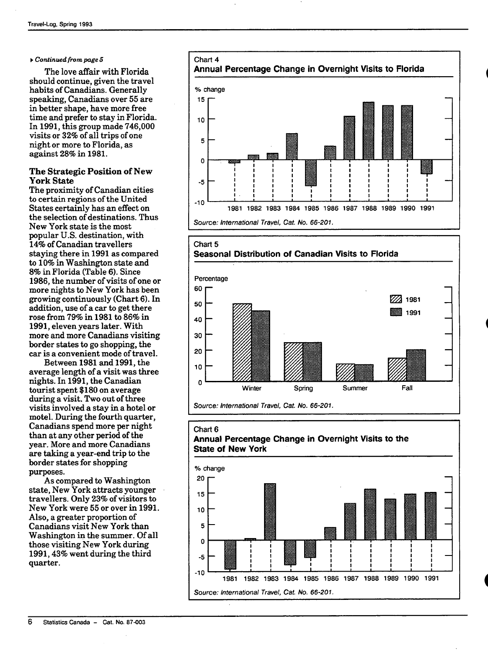#### **•** *Continued from page 5*

The love affair with Florida should continue, given the travel habits of Canadians. Generally speaking, Canadians over 55 are in better shape, have more free time and prefer to stay in Florida. In 1991, this group made 746,000 visits or 32% of all trips of one night or more to Florida, as against 28% in 1981.

## **The Strategic Position of New York State**

The proximity of Canadian cities to certain regions of the United States certainly has an effect on the selection of destinations. Thus New York state is the most popular U.S. destination, with 14% of Canadian travellers staying there in 1991 as compared to 10% in Washington state and 8% in Florida (Table 6). Since 1986, the number of visits of one or more nights to New York has been growing continuously (Chart 6). In addition, use of a car to get there rose from 79% in 1981 to 86% in 1991, eleven years later. With more and more Canadians visiting border states to go shopping, the car is a convenient mode of travel.

Between 1981 and 1991, the average length of a visit was three nights. In 1991, the Canadian tourist spent \$180 on average during a visit. Two out of three visits involved a stay in a hotel or motel. During the fourth quarter, Canadians spend more per night than at any other period of the year. More and more Canadians are taking a year-end trip to the border states for shopping purposes.

As compared to Washington state. New York attracts younger travellers. Only 23% of visitors to New York were 55 or over in 1991. Also, a greater proportion of Canadians visit New York than Washington in the summer. Of all those visiting New York during 1991,43% went during the third quarter.



![](_page_5_Figure_8.jpeg)

![](_page_5_Figure_9.jpeg)

## Chart 6 **Annual Percentage Change in Overnight Visits to the State of New York**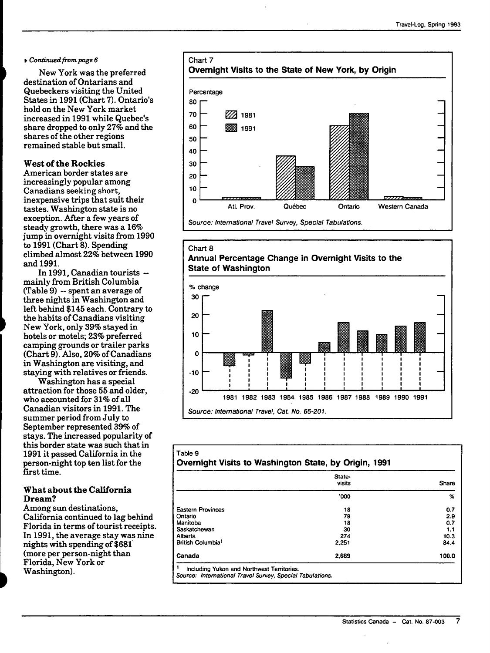#### **^** *Continued from page 6*

New York was the preferred destination of Ontarians and Quebeckers visiting the United States in 1991 (Chart 7). Ontario's hold on the New York market increased in 1991 while Quebec's share dropped to only 27% and the shares of the other regions remained stable but small.

#### **West of the** Rockies

American border states are increasingly popular among Canadians seeking short, inexpensive trips that suit their tastes. Washington state is no exception. After a few years of steady growth, there was a 16% jump in overnight visits from 1990 to 1991 (Chart 8). Spending climbed almost 22% between 1990 and 1991.

In 1991, Canadian tourists -mainly from British Columbia  $(Table 9) - spent an average of$ three nights in Washington and left behind \$145 each. Contrary to the habits of Canadians visiting New York, only 39% stayed in hotels or motels; 23% preferred camping grounds or trailer parks (Chart 9). Also, 20% of Canadians in Washington are visiting, and staying with relatives or friends.

Washington has a special attraction for those 55 emd older, who accounted for 31% of all Canadian visitors in 1991. The summer period from July to September represented 39% of stays. The increased popularity of this border state was such that in 1991 it passed California in the person-night top ten list for the first time.

#### **What about the California Dream?**

Among sun destinations, California continued to lag behind Florida in terms of tourist receipts. In 1991, the average stay was nine nights with spending of \$681 (more per person-night than Florida, New York or Washington).

![](_page_6_Figure_9.jpeg)

![](_page_6_Figure_10.jpeg)

#### Table 9

## **Overnight Visits to Washington State, by Origin, 1991**

Source: International Travel, Cat No. 66-201.

|       | Share                                                     |
|-------|-----------------------------------------------------------|
| '000  | %                                                         |
| 18    | 0.7                                                       |
| 79    | 2.9                                                       |
| 18    | 0.7                                                       |
| 30    | 1.1                                                       |
| 274   | 10.3                                                      |
| 2.251 | 84.4                                                      |
| 2,669 | 100.0                                                     |
|       |                                                           |
|       | Source: International Travel Survey, Special Tabulations. |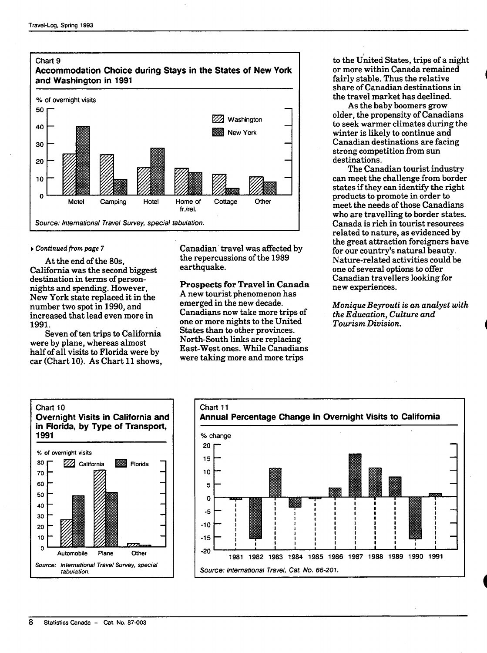![](_page_7_Figure_1.jpeg)

#### $\triangleright$  Continued from page 7

At the end of the 80s, California was the second biggest destination in terms of personnights and spending. However, New York state replaced it in the number two spot in 1990, and increased that lead even more in 1991.

Seven of ten trips to California were by plane, whereas almost half of all visits to Florida were by car (Chart 10). As Chart 11 shows. Canadian travel was affected by the repercussions of the 1989 earthquake.

**Prospects for Travel in Canada**  A new tourist phenomenon has emerged in the new decade. Canadians now take more trips of one or more nights to the United States than to other provinces. North-South links are replacing East-West ones. While Canadians were taking more and more trips

to the United States, trips of a night or more within Canada remained fairly stable. Thus the relative share of Canadian destinations in the travel market has declined.

As the baby boomers grow older, the propensity of Canadians to seek warmer climates during the winter is likely to continue and Canadian destinations are facing strong competition from sun destinations.

The Canadian tourist industry can meet the challenge from border states if they can identify the right products to promote in order to meet the needs of those Canadians who are travelling to border states. Canada is rich in tourist resources related to nature, as evidenced by the great attraction foreigners have for our country's natural beauty. Nature-related activities could be one of several options to offer Canadian travellers looking for new experiences.

*Monique Beyrouti is an analyst with the Education, Culture and Tourism Division.* 

![](_page_7_Figure_11.jpeg)

![](_page_7_Figure_12.jpeg)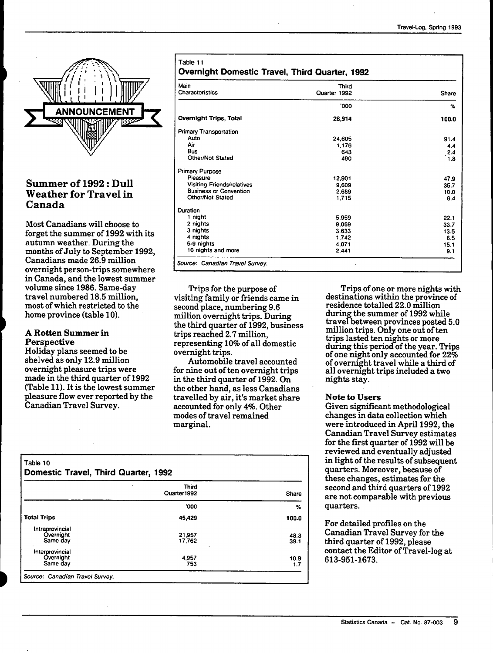![](_page_8_Picture_1.jpeg)

## **Summer of 1992: Dull Weather for Travel in Canada**

Most Canadians will choose to forget the summer of 1992 with its autumn weather. During the months of July to September 1992, Canadians made 26.9 million overnight person-trips somewhere in Canada, and the lowest summer volume since 1986. Same-day travel numbered 18.5 million, most of which restricted to the home province (table 10).

## **A Rotten Summer in Perspective**

Holiday plans seemed to be shelved as only 12.9 million overnight pleasure trips were made in the third quarter of 1992 (Table 11). It is the lowest summer pleasure flow ever reported by the Canadian Travel Survey.

## Table 11 **Overnight Domestic Travel, Third Quarter, 1992**

| Main<br>Characteristics           | Third<br>Quarter 1992 | Share |
|-----------------------------------|-----------------------|-------|
|                                   | '000                  | %     |
| <b>Overnight Trips, Total</b>     | 26,914                | 100.0 |
| <b>Primary Transportation</b>     |                       |       |
| Auto                              | 24,605                | 91.4  |
| Air                               | 1,176                 | 4.4   |
| Bus                               | 643                   | 2.4   |
| Other/Not Stated                  | 490                   | 1.8   |
| <b>Primary Purpose</b>            |                       |       |
| Pleasure                          | 12,901                | 47.9  |
| <b>Visiting Friends/relatives</b> | 9,609                 | 35.7  |
| <b>Business or Convention</b>     | 2,689                 | 10.0  |
| Other/Not Stated                  | 1,715                 | 6.4   |
| Duration                          |                       |       |
| 1 night                           | 5.959                 | 22.1  |
| 2 nights                          | 9.069                 | 33.7  |
| 3 nights                          | 3.633                 | 13.5  |
| 4 nights                          | 1,742                 | 6.5   |
| 5-9 nights                        | 4.071                 | 15.1  |
| 10 nights and more                | 2,441                 | 9.1   |

Trips for the purpose of visiting family or friends came in second place, numbering 9.6 million overnight trips. During the third quarter of 1992, business trips reached 2.7 million, representing 10% of all domestic overnight trips.

Automobile travel accounted for nine out of ten overnight trips in the third quarter of 1992. On the other hand, as less Canadians travelled by air, it's market share accounted for only 4%. Other modes of travel remained marginal.

|                                          | <b>Third</b><br>Quarter 1992 | Share        |
|------------------------------------------|------------------------------|--------------|
|                                          | '000                         | %            |
| <b>Total Trips</b>                       | 45,429                       | 100.0        |
| Intraprovincial<br>Overnight<br>Same day | 21.957<br>17,762             | 48.3<br>39.1 |
| Interprovincial<br>Overnight<br>Same day | 4,957<br>753                 | 10.9<br>1.7  |

Trips of one or more nights with destinations within the province of residence totalled 22.0 million during the summer of 1992 while travel between provinces posted 5.0 million trips. Only one out of ten trips lasted ten nights or more during this period of the year. Trips of one night only accounted for 22% of overnight travel while a third of all overnight trips included a two nights stay.

#### **Note to Users**

Given significant methodological changes in data collection which were introduced in April 1992, the Canadian Travel Survey estimates for the first quarter of 1992 will be reviewed and eventually adjusted in light of the results of subsequent quarters. Moreover, because of these changes, estimates for the second and third quarters of 1992 are not comparable with previous quarters.

For detailed profiles on the Canadian Travel Survey for the third quarter of 1992, please contact the Editor of Travel-log at 613-951-1673.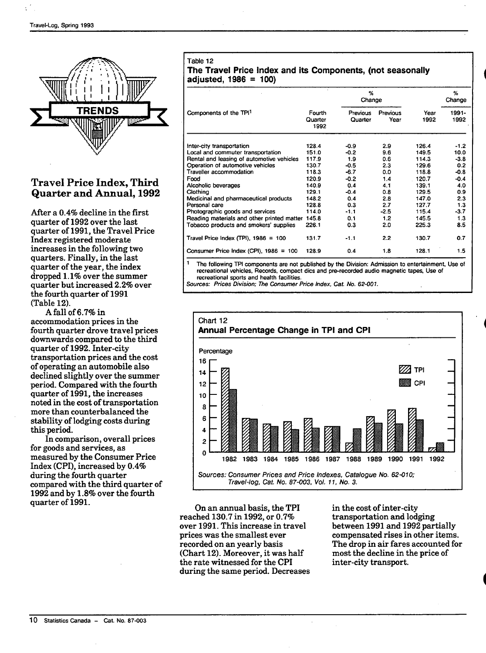![](_page_9_Picture_1.jpeg)

## Travel Price Index, Third Quarter and Annual, 1992

After a 0.4% decline in the first quarter of 1992 over the last quarter of 1991, the Travel Price Index registered moderate increases in the following two quarters. Finally, in the last quarter of the year, the index dropped 1.1% over the summer quarter but increased 2.2% over the fourth quarter of 1991 (Table 12).

A fall of 6.7% in accommodation prices in the fourth quarter drove travel prices downwards compared to the third quarter of 1992. Inter-city transportation prices and the cost of operating an automobile also declined slightly over the summer period. Compared with the fourth quarter of 1991, the increases noted in the cost of transportation more than counterbalanced the stability of lodging costs during this period.

In comparison, overall prices for goods and services, as measured by the Consumer Price Index (CPI), increased by 0.4% during the fourth quarter compared with the third quarter of 1992 and by 1.8% over the fourth quarter of 1991.

#### Table 12 **The Travel Price Index and its Components, (not seasonally adjusted, 1986 = 100)**

|                                            |                           | %<br>Change         |                  |              | %<br>Change   |  |
|--------------------------------------------|---------------------------|---------------------|------------------|--------------|---------------|--|
| Components of the TPI <sup>1</sup>         | Fourth<br>Quarter<br>1992 | Previous<br>Quarter | Previous<br>Year | Year<br>1992 | 1991-<br>1992 |  |
| inter-city transportation                  | 128.4                     | $-0.9$              | 2.9              | 126.4        | $-1.2$        |  |
| Local and commuter transportation          | 151.0                     | $-0.2$              | 9.6              | 149.5        | 10.0          |  |
| Rental and leasing of automotive vehicles  | 117.9                     | 1.9                 | 0.6              | 114.3        | $-3.8$        |  |
| Operation of automotive vehicles           | 130.7                     | $-0.5$              | 2.3              | 129.6        | 0.2           |  |
| Traveller accommodation                    | 118.3                     | $-6.7$              | 0.0              | 118.8        | -0.8          |  |
| Food                                       | 120.9                     | $-0.2$              | 1.4              | 120.7        | -0.4          |  |
| Alcoholic beverages                        | 140.9                     | 0.4                 | 4.1              | 139.1        | 4.0           |  |
| Clothing                                   | 129.1                     | $-0.4$              | 0.8              | 129.5        | 0.9           |  |
| Medicinal and pharmaceutical products      | 148.2                     | 0.4                 | 2.8              | 147.0        | 2.3           |  |
| Personal care                              | 128.8                     | 0.3                 | 2.7              | 127.7        | 1.3           |  |
| Photographic goods and services            | 114.0                     | $-1.1$              | $-2.5$           | 115.4        | $-3.7$        |  |
| Reading materials and other printed matter | 145.8                     | 0.1                 | 1.2              | 145.5        | 1.3           |  |
| Tobacco products and smokers' supplies     | 226.1                     | 0.3                 | 2.0              | 225.3        | 8.5           |  |
| Travel Price Index (TPI), $1986 = 100$     | 131.7                     | $-1.1$              | 2.2              | 130.7        | 0.7           |  |
| Consumer Price Index (CPI), 1986 = 100     | 128.9                     | 0.4                 | 1.8              | 128.1        | 1.5           |  |

<sup>1</sup> The following TPI components are not published by the Division: Admission to entertainment, **recreational vehicles. Records, compact dies and pre-recorded audio magnetic tapes, Use of recreational sports and health facilities. Use of** 

**Sources: Prices Division; The Consumer Price Index, Cat. Wo. 62-007** 

![](_page_9_Figure_10.jpeg)

On an annual basis, the TPI reached 130.7 in 1992, or 0.7% over 1991. This increase in travel prices was the smallest ever recorded on an yearly basis (Chart 12). Moreover, it was half the rate witnessed for the CPI during the same period. Decreases in the cost of inter-city transportation and lodging between 1991 and 1992 partially compensated rises in other items. The drop in air fares accounted for most the decline in the price of inter-city transport.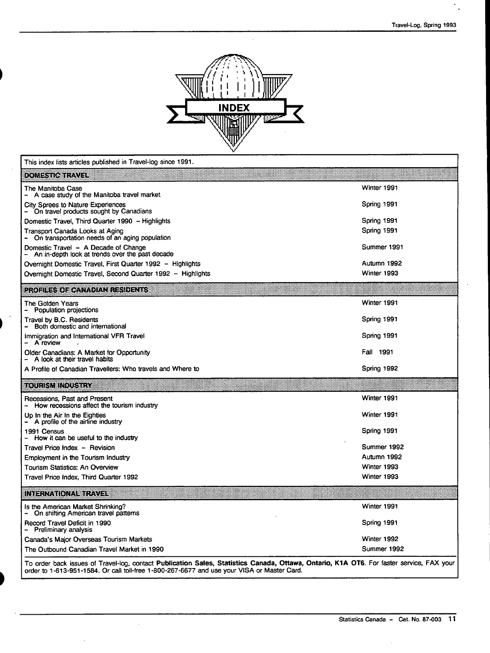$\frac{1}{2}$ 

![](_page_10_Picture_1.jpeg)

| This index lists articles published in Travel-log since 1991.                                                                                                                                                                           |             |
|-----------------------------------------------------------------------------------------------------------------------------------------------------------------------------------------------------------------------------------------|-------------|
| <b>DOMESTIC TRAVEL</b>                                                                                                                                                                                                                  |             |
| The Manitoba Case<br>A case study of the Manitoba travel market                                                                                                                                                                         | Winter 1991 |
| City Sprees to Nature Experiences<br>On travel products sought by Canadians                                                                                                                                                             | Spring 1991 |
| Domestic Travel, Third Quarter 1990 - Highlights                                                                                                                                                                                        | Spring 1991 |
| Transport Canada Looks at Aging<br>On transportation needs of an aging population                                                                                                                                                       | Spring 1991 |
| Domestic Travel - A Decade of Change<br>An in-depth look at trends over the past decade                                                                                                                                                 | Summer 1991 |
| Overnight Domestic Travel, First Quarter 1992 - Highlights                                                                                                                                                                              | Autumn 1992 |
| Overnight Domestic Travel, Second Quarter 1992 - Highlights                                                                                                                                                                             | Winter 1993 |
| profiles of canadian residents                                                                                                                                                                                                          |             |
| The Golden Years<br>Population projections                                                                                                                                                                                              | Winter 1991 |
| Travel by B.C. Residents<br>Both domestic and international                                                                                                                                                                             | Spring 1991 |
| immigration and International VFR Travel<br>A review                                                                                                                                                                                    | Spring 1991 |
| Older Canadians: A Market for Opportunity<br>A look at their travel habits                                                                                                                                                              | Fall 1991   |
| A Profile of Canadian Travellers: Who travels and Where to                                                                                                                                                                              | Spring 1992 |
| TOURISM INDUSTRY                                                                                                                                                                                                                        |             |
| Recessions, Past and Present<br>How recessions affect the tourism industry                                                                                                                                                              | Winter 1991 |
| Up In the Air In the Eighties<br>A profile of the airline industry                                                                                                                                                                      | Winter 1991 |
| 1991 Census<br>- How it can be useful to the industry                                                                                                                                                                                   | Spring 1991 |
| Travel Price Index - Revision                                                                                                                                                                                                           | Summer 1992 |
| Employment in the Tourism Industry                                                                                                                                                                                                      | Autumn 1992 |
| <b>Tourism Statistics: An Overview</b>                                                                                                                                                                                                  | Winter 1993 |
| Travel Price Index, Third Quarter 1992                                                                                                                                                                                                  | Winter 1993 |
| in fernamena erkvei                                                                                                                                                                                                                     |             |
| Is the American Market Shrinking?<br>On shifting American travel patterns                                                                                                                                                               | Winter 1991 |
| Record Travel Deficit in 1990<br>Preliminary analysis                                                                                                                                                                                   | Spring 1991 |
| Canada's Major Overseas Tourism Markets                                                                                                                                                                                                 | Winter 1992 |
| The Outbound Canadian Travel Market in 1990                                                                                                                                                                                             | Summer 1992 |
| To order back issues of Travel-log, contact Publication Sales, Statistics Canada, Ottawa, Ontario, K1A OT6. For faster service, FAX your<br>order to 1-613-951-1584. Or call toll-free 1-800-267-6677 and use your VISA or Master Card. |             |

l,